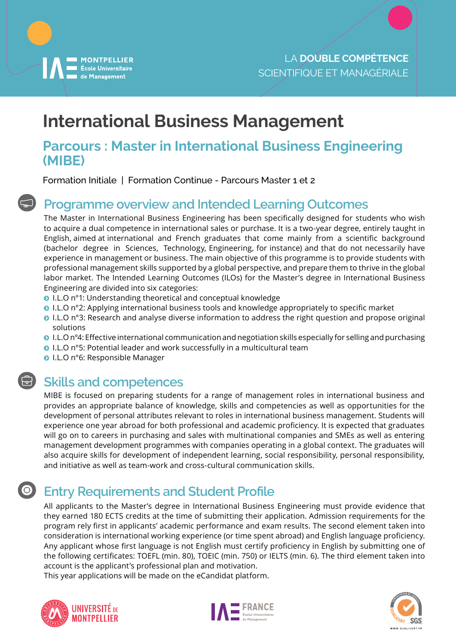

# **International Business Management**

### **Parcours : Master in International Business Engineering (MIBE)**

Formation Initiale | Formation Continue - Parcours Master 1 et 2

## **Programme overview and Intended Learning Outcomes**

The Master in International Business Engineering has been specifically designed for students who wish to acquire a dual competence in international sales or purchase. It is a two-year degree, entirely taught in English, aimed at international and French graduates that come mainly from a scientific background (bachelor degree in Sciences, Technology, Engineering, for instance) and that do not necessarily have experience in management or business. The main objective of this programme is to provide students with professional management skills supported by a global perspective, and prepare them to thrive in the global labor market. The Intended Learning Outcomes (ILOs) for the Master's degree in International Business Engineering are divided into six categories:

- **I.L.O** n°1: Understanding theoretical and conceptual knowledge
- **I.L.O n°2: Applying international business tools and knowledge appropriately to specific market**
- ĵ I.L.O n°3: Research and analyse diverse information to address the right question and propose original solutions
- ĵ I.L.O n°4: Effective international communication and negotiation skills especially for selling and purchasing
- ĵ I.L.O n°5: Potential leader and work successfully in a multicultural team
- **O** I.L.O n°6: Responsible Manager

### **Skills and competences**

MIBE is focused on preparing students for a range of management roles in international business and provides an appropriate balance of knowledge, skills and competencies as well as opportunities for the development of personal attributes relevant to roles in international business management. Students will experience one year abroad for both professional and academic proficiency. It is expected that graduates will go on to careers in purchasing and sales with multinational companies and SMEs as well as entering management development programmes with companies operating in a global context. The graduates will also acquire skills for development of independent learning, social responsibility, personal responsibility, and initiative as well as team-work and cross-cultural communication skills.

### $\bigcirc$ **Entry Requirements and Student Profile**

All applicants to the Master's degree in International Business Engineering must provide evidence that they earned 180 ECTS credits at the time of submitting their application. Admission requirements for the program rely first in applicants' academic performance and exam results. The second element taken into consideration is international working experience (or time spent abroad) and English language proficiency. Any applicant whose first language is not English must certify proficiency in English by submitting one of the following certificates: TOEFL (min. 80), TOEIC (min. 750) or IELTS (min. 6). The third element taken into account is the applicant's professional plan and motivation.

This year applications will be made on the eCandidat platform.